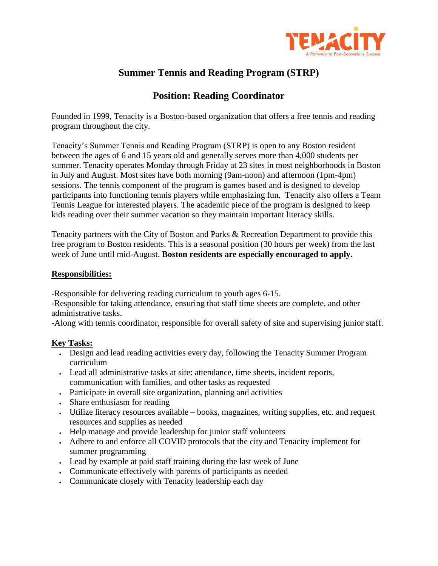

# **Summer Tennis and Reading Program (STRP)**

## **Position: Reading Coordinator**

Founded in 1999, Tenacity is a Boston-based organization that offers a free tennis and reading program throughout the city.

Tenacity's Summer Tennis and Reading Program (STRP) is open to any Boston resident between the ages of 6 and 15 years old and generally serves more than 4,000 students per summer. Tenacity operates Monday through Friday at 23 sites in most neighborhoods in Boston in July and August. Most sites have both morning (9am-noon) and afternoon (1pm-4pm) sessions. The tennis component of the program is games based and is designed to develop participants into functioning tennis players while emphasizing fun. Tenacity also offers a Team Tennis League for interested players. The academic piece of the program is designed to keep kids reading over their summer vacation so they maintain important literacy skills.

Tenacity partners with the City of Boston and Parks & Recreation Department to provide this free program to Boston residents. This is a seasonal position (30 hours per week) from the last week of June until mid-August. **Boston residents are especially encouraged to apply.**

#### **Responsibilities:**

-Responsible for delivering reading curriculum to youth ages 6-15.

-Responsible for taking attendance, ensuring that staff time sheets are complete, and other administrative tasks.

-Along with tennis coordinator, responsible for overall safety of site and supervising junior staff.

#### **Key Tasks:**

- Design and lead reading activities every day, following the Tenacity Summer Program curriculum
- Lead all administrative tasks at site: attendance, time sheets, incident reports, communication with families, and other tasks as requested
- Participate in overall site organization, planning and activities
- Share enthusiasm for reading
- Utilize literacy resources available books, magazines, writing supplies, etc. and request resources and supplies as needed
- Help manage and provide leadership for junior staff volunteers
- Adhere to and enforce all COVID protocols that the city and Tenacity implement for summer programming
- Lead by example at paid staff training during the last week of June
- Communicate effectively with parents of participants as needed
- Communicate closely with Tenacity leadership each day